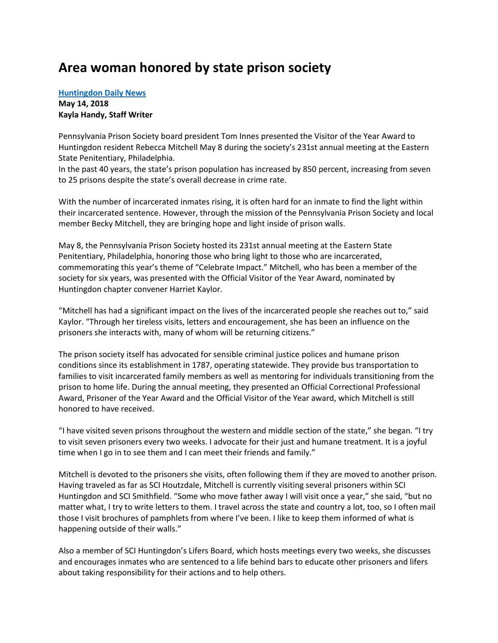## **Area woman honored by state prison society**

## **[Huntingdon Daily News](http://www.huntingdondailynews.com/news/2018-05-14/Front_Page/Area_woman_honored_by_state_prison_society.html) May 14, 2018 Kayla Handy, Staff Writer**

Pennsylvania Prison Society board president Tom Innes presented the Visitor of the Year Award to Huntingdon resident Rebecca Mitchell May 8 during the society's 231st annual meeting at the Eastern State Penitentiary, Philadelphia.

In the past 40 years, the state's prison population has increased by 850 percent, increasing from seven to 25 prisons despite the state's overall decrease in crime rate.

With the number of incarcerated inmates rising, it is often hard for an inmate to find the light within their incarcerated sentence. However, through the mission of the Pennsylvania Prison Society and local member Becky Mitchell, they are bringing hope and light inside of prison walls.

May 8, the Pennsylvania Prison Society hosted its 231st annual meeting at the Eastern State Penitentiary, Philadelphia, honoring those who bring light to those who are incarcerated, commemorating this year's theme of "Celebrate Impact." Mitchell, who has been a member of the society for six years, was presented with the Official Visitor of the Year Award, nominated by Huntingdon chapter convener Harriet Kaylor.

"Mitchell has had a significant impact on the lives of the incarcerated people she reaches out to," said Kaylor. "Through her tireless visits, letters and encouragement, she has been an influence on the prisoners she interacts with, many of whom will be returning citizens."

The prison society itself has advocated for sensible criminal justice polices and humane prison conditions since its establishment in 1787, operating statewide. They provide bus transportation to families to visit incarcerated family members as well as mentoring for individuals transitioning from the prison to home life. During the annual meeting, they presented an Official Correctional Professional Award, Prisoner of the Year Award and the Official Visitor of the Year award, which Mitchell is still honored to have received.

"I have visited seven prisons throughout the western and middle section of the state," she began. "I try to visit seven prisoners every two weeks. I advocate for their just and humane treatment. It is a joyful time when I go in to see them and I can meet their friends and family."

Mitchell is devoted to the prisoners she visits, often following them if they are moved to another prison. Having traveled as far as SCI Houtzdale, Mitchell is currently visiting several prisoners within SCI Huntingdon and SCI Smithfield. "Some who move father away I will visit once a year," she said, "but no matter what, I try to write letters to them. I travel across the state and country a lot, too, so I often mail those I visit brochures of pamphlets from where I've been. I like to keep them informed of what is happening outside of their walls."

Also a member of SCI Huntingdon's Lifers Board, which hosts meetings every two weeks, she discusses and encourages inmates who are sentenced to a life behind bars to educate other prisoners and lifers about taking responsibility for their actions and to help others.